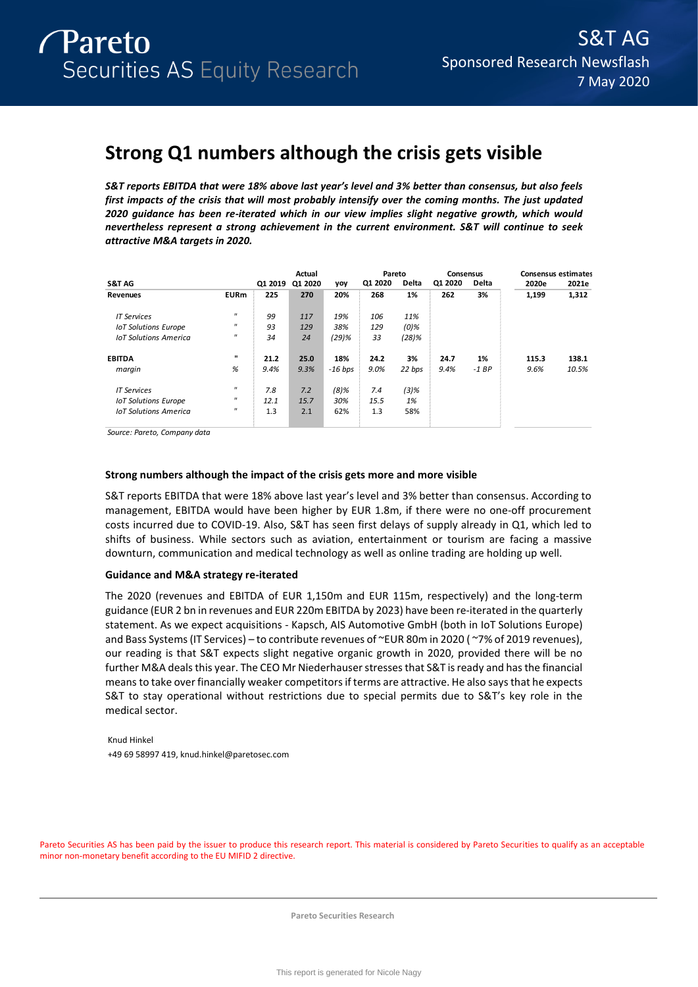# **Strong Q1 numbers although the crisis gets visible**

*S&T reports EBITDA that were 18% above last year's level and 3% better than consensus, but also feels first impacts of the crisis that will most probably intensify over the coming months. The just updated 2020 guidance has been re-iterated which in our view implies slight negative growth, which would nevertheless represent a strong achievement in the current environment. S&T will continue to seek attractive M&A targets in 2020.* 

|                              |                     |         | Actual  |           |         | Pareto  | Consensus |         |       | <b>Consensus estimates</b> |
|------------------------------|---------------------|---------|---------|-----------|---------|---------|-----------|---------|-------|----------------------------|
| S&T AG                       |                     | Q1 2019 | Q1 2020 | yoy       | Q1 2020 | Delta   | Q1 2020   | Delta   | 2020e | 2021e                      |
| <b>Revenues</b>              | <b>EURm</b>         | 225     | 270     | 20%       | 268     | 1%      | 262       | 3%      | 1,199 | 1,312                      |
| <b>IT Services</b>           | $\mathbf{H}$        | 99      | 117     | 19%       | 106     | 11%     |           |         |       |                            |
| <b>IoT Solutions Europe</b>  | $^{\prime\prime}$   | 93      | 129     | 38%       | 129     | $(0)\%$ |           |         |       |                            |
| <b>IoT Solutions America</b> | $^{\prime\prime}$   | 34      | 24      | $(29)$ %  | 33      | (28)%   |           |         |       |                            |
| <b>EBITDA</b>                | п                   | 21.2    | 25.0    | 18%       | 24.2    | 3%      | 24.7      | 1%      | 115.3 | 138.1                      |
| margin                       | %                   | 9.4%    | 9.3%    | $-16$ bps | 9.0%    | 22 bps  | 9.4%      | $-1 BP$ | 9.6%  | 10.5%                      |
| <b>IT Services</b>           | $^{\prime\prime}$   | 7.8     | 7.2     | $(8)$ %   | 7.4     | $(3)$ % |           |         |       |                            |
| <b>IoT Solutions Europe</b>  | $\mathbf{H}$        | 12.1    | 15.7    | 30%       | 15.5    | 1%      |           |         |       |                            |
| <b>IoT Solutions America</b> | $\pmb{\mathcal{H}}$ | 1.3     | 2.1     | 62%       | 1.3     | 58%     |           |         |       |                            |

*Source: Pareto, Company data*

# **Strong numbers although the impact of the crisis gets more and more visible**

S&T reports EBITDA that were 18% above last year's level and 3% better than consensus. According to management, EBITDA would have been higher by EUR 1.8m, if there were no one-off procurement costs incurred due to COVID-19. Also, S&T has seen first delays of supply already in Q1, which led to shifts of business. While sectors such as aviation, entertainment or tourism are facing a massive downturn, communication and medical technology as well as online trading are holding up well.

# **Guidance and M&A strategy re-iterated**

The 2020 (revenues and EBITDA of EUR 1,150m and EUR 115m, respectively) and the long-term guidance (EUR 2 bn in revenues and EUR 220m EBITDA by 2023) have been re-iterated in the quarterly statement. As we expect acquisitions - Kapsch, AIS Automotive GmbH (both in IoT Solutions Europe) and Bass Systems (IT Services) – to contribute revenues of ~EUR 80m in 2020 ( ~7% of 2019 revenues), our reading is that S&T expects slight negative organic growth in 2020, provided there will be no further M&A deals this year. The CEO Mr Niederhauser stressesthat S&T is ready and has the financial means to take over financially weaker competitors if terms are attractive. He also says that he expects S&T to stay operational without restrictions due to special permits due to S&T's key role in the medical sector.

Knud Hinkel +49 69 58997 419, knud.hinkel@paretosec.com

Pareto Securities AS has been paid by the issuer to produce this research report. This material is considered by Pareto Securities to qualify as an acceptable minor non-monetary benefit according to the EU MIFID 2 directive.

**Pareto Securities Research**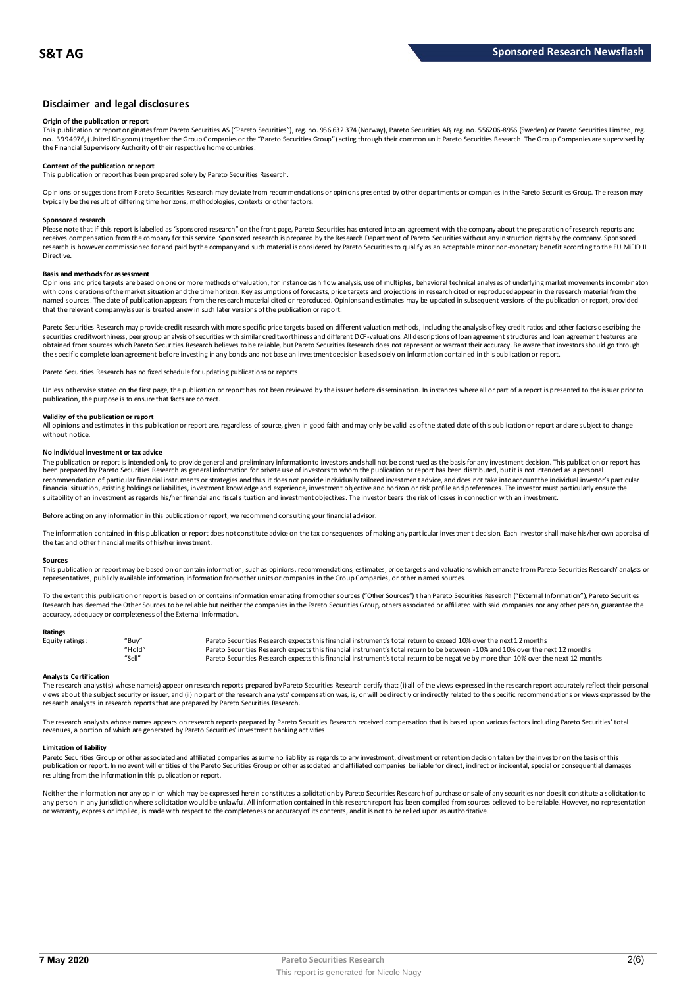# **Disclaimer and legal disclosures**

# **Origin of the publication or report**

This publication or report originates from Pareto Securities AS ("Pareto Securities"), reg. no. 956 632 374 (Norway), Pareto Securities AB, reg. no. 556206-8956 (Sweden) or Pareto Securities Limited, reg. no. 3994976, (United Kingdom) (together the Group Companies or the "Pareto Securities Group") acting through their common un it Pareto Securities Research. The Group Companies are supervised by<br>the Financial Supervisory Au

# **Content of the publication or report**

This publication or report has been prepared solely by Pareto Securities Research.

Opinions or suggestions from Pareto Securities Research may deviate from recommendations or opinions presented by other departments or companies in the Pareto Securities Group. The reason may typically be the result of differing time horizons, methodologies, contexts or other factors.

#### **Sponsored research**

Please note that if this report is labelled as "sponsored research" on the front page, Pareto Securities has entered into an agreement with the company about the preparation of research reports and<br>receives compensation fr research is however commissioned for and paid by the company and such material is considered by Pareto Securities to qualify as an acceptable minor non-monetary benefit according to the EU MiFID II Directive.

#### **Basis and methods for assessment**

Opinions and price targets are based on one or more methods of valuation, for instance cash flow analysis, use of multiples, behavioral technical analyses of underlying market movements in combination with considerations of the market situation and the time horizon. Key assumptions of forecasts, price targets and projections in research cited or reproduced appear in the research material from the named sources. The date of publication appears from the research material cited or reproduced. Opinions and estimates may be updated in subsequent versions of the publication or report, provided that the relevant company/issuer is treated anew in such later versions of the publication or report.

Pareto Securities Research may provide credit research with more specific price targets based on different valuation methods, including the analysis of key credit ratios and other factors describing the securities creditworthiness, peer group analysis of securities with similar creditworthiness and different DCF-valuations. All descriptions of loan agreement structures and loan agreement features are obtained from sources which Pareto Securities Research believes to be reliable, but Pareto Securities Research does not represent or warrant their accuracy. Be aware that investors should go through the specific complete loan agreement before investing in any bonds and not base an investment decision based solely on information contained in this publication or report.

Pareto Securities Research has no fixed schedule for updating publications or reports.

Unless otherwise stated on the first page, the publication or report has not been reviewed by the issuer before dissemination. In instances where all or part of a report is presented to the issuer prior to publication, the purpose is to ensure that facts are correct.

# **Validity of the publication or report**

All opinions and estimates in this publication or report are, regardless of source, given in good faith and may only be valid as of the stated date of this publication or report and are subject to change without notice.

#### **No individual investment or tax advice**

The publication or report is intended only to provide general and preliminary information to investors and shall not be construed as the basis for any investment decision. This publication or report has<br>been prepared by Pa recommendation of particular financial instruments or strategies and thus it does not provide individually tailored investmen t advice, and does not take into account the individual investor's particular financial situation, existing holdings or liabilities, investment knowledge and experience, investment objective and horizon or risk profile and preferences. The investor must particularly ensure the suitability of an investment as regards his/her financial and fiscal situation and investment objectives. The investor bears the risk of losses in connection with an investment.

Before acting on any information in this publication or report, we recommend consulting your financial advisor.

The information contained in this publication or report does not constitute advice on the tax consequences of making any particular investment decision. Each investor shall make his/her own appraisal of the tax and other financial merits of his/her investment.

#### **Sources**

This publication or report may be based on or contain information, such as opinions, recommendations, estimates, price targets and valuations which emanate from Pareto Securities Research' analysts or representatives, publicly available information, information from other units or companies in the Group Companies, or other named sources.

To the extent this publication or report is based on or contains information emanating from other sources ("Other Sources") than Pareto Securities Research ("External Information"), Pareto Securities Research has deemed the Other Sources to be reliable but neither the companies in the Pareto Securities Group, others associated or affiliated with said companies nor any other person, guarantee the accuracy, adequacy or completeness of the External Information.

#### **Ratings**

| Equity ratings: | "Buy"  | Pareto Securities Research expects this financial instrument's total return to exceed 10% over the next 12 months                   |
|-----------------|--------|-------------------------------------------------------------------------------------------------------------------------------------|
|                 | "Hold" | Pareto Securities Research expects this financial instrument's total return to be between -10% and 10% over the next 12 months      |
|                 | "Sell" | Pareto Securities Research expects this financial instrument's total return to be negative by more than 10% over the next 12 months |

**Analysts Certification**<br>The research analystis) whose name(s) appear on research reports prepared by Pareto Securities Research certify that: (i) all of the views expressed in the research report accurately reflect their "Hold"<br>Pareto Securities Research expects this financial instrument's total return to be between -10% and 10% over the next 12 months<br>Analysts Certification<br>The research analyst(s) whose name(s) appear on research reports research analysts in research reports that are prepared by Pareto Securities Research.

The research analysts whose names appears on research reports prepared by Pareto Securities Research received compensation that is based upon various factors including Pareto Securities' total revenues, a portion of which are generated by Pareto Securities' investment banking activities.

#### **Limitation of liability**

Pareto Securities Group or other associated and affiliated companies assume no liablity as regards to any investment, divestment or retention decision taken by the investor on the basis of this<br>publication or report. In no resulting from the information in this publication or report.

Neither the information nor any opinion which may be expressed herein constitutes a solicitation by Pareto Securities Research of purchase or sale of any securities nor does it constitute a solicitation to any person in any jurisdiction where solicitation would be unlawful. All information contained in this research report has been compiled from sources believed to be reliable. However, no representation or warranty, express or implied, is made with respect to the completeness or accuracy of its contents, and it is not to be relied upon as authoritative.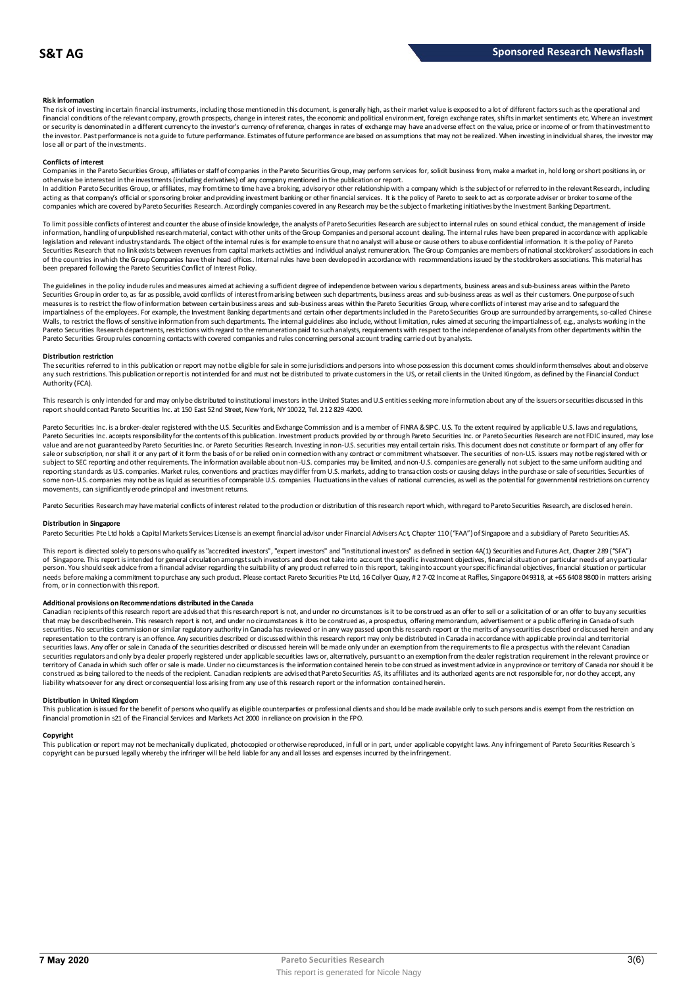### **Risk information**

The risk of investing in certain financial instruments, including those mentioned in this document, is generally high, as their market value is exposed to a lot of different factors such as the operational and financial conditions of the relevant company, growth prospects, change in interest rates, the economic and political environment, foreign exchange rates, shifts in market sentiments etc. Where an investment or security is denominated in a different currency to the investor's currency of reference, changes in rates of exchange may have an adverse effect on the value, price or income of or from that investment to the investor. Past performance is not a guide to future performance. Estimates of future performance are based on assumptions that may not be realized. When investing in individual shares, the investor may lose all or part of the investments.

### **Conflicts of interest**

Companies in the Pareto Securities Group, affiliates or staff of companies in the Pareto Securities Group, may perform services for, solicit business from, make a market in, hold long or short positions in, or otherwise be interested in the investments (including derivatives) of any company mentioned in the publication or report.<br>In addition Pareto Securities Group, or affiliates, may from time to time have a broking, advisory o

acting as that company's official or sponsoring broker and providing investment banking or other financial services. It is the policy of Pareto to seek to act as corporate adviser or broker to some of the companies which are covered by Pareto Securities Research. Accordingly companies covered in any Research may be the subject o f marketing initiatives by the Investment Banking Department.

To limit possible conflicts of interest and counter the abuse of inside knowledge, the analysts of Pareto Securities Research are subject to internal rules on sound ethical conduct, the management of inside information, handling of unpublished research material, contact with other units of the Group Companies and personal account dealing. The internal rules have been prepared in accordance with applicable legislation and relevant industry standards. The object of the internal rules is for example to ensure that no analyst will abuse or cause others to abuse confidential information. It is the policy of Pareto Securities Research that no link exists between revenues from capital markets activities and individual analyst remuneration. The Group Companies are members of national stockbrokers' associations in each of the countries in which the Group Companies have their head offices. Internal rules have been developed in accordance with recommendations issued by the stockbrokers associations. This material has been prepared following the Pareto Securities Conflict of Interest Policy.

The guidelines in the policy indude rules and measures aimed at achieving a sufficient degree of independence between various departments, business areas and sub-business areas within the Pareto Securities Group in order to, as far as possible, avoid conflicts of interest from arising between such departments, business areas and sub-business areas as well as their customers. One purpose of such measures is to restrict the flow of information between certain business areas and sub-business areas within the Pareto Securities Group, where conflicts of interest may arise and to safeguard the inpartialness of the empl The guidelines in the policy indude rules and measures aimed at achieving a sufficient degree of independence between various departments, business areas and sub-business areas within the Pareto<br>Securities Group in order t Pareto Securities Group rules concerning contacts with covered companies and rules concerning personal account trading carried out by analysts.

#### **Distribution restriction**

The securities referred to in this publication or report may not be eligible for sale in some jurisdictions and persons into whose possession this document comes should inform themselves about and observe Pareto Securities Group rules concerning contacts with covered companies and rules concerning personal account trading carried out by analysts.<br>Distribution restriction<br>The securities referred to in this publication or rep Authority (FCA).

This research is only intended for and may only be distributed to institutional investors in the United States and U.S entities seeking more information about any of the issuers or securities discussed in this report should contact Pareto Securities Inc. at 150 East 52nd Street, New York, NY 10022, Tel. 212 829 4200.

Pareto Securities Inc. is a broker-dealer registered with the U.S. Securities and Exchange Commission and is a member of FINRA & SPC. U.S. To the extent required by applicable U.S. laws and regulations, Pareto Securities Inc. accepts responsibilityfor the contents of this publication. Investment products provided by or through Pareto Securities Inc. or Pareto Securities Research are not FDIC insured, may lose<br>value and ar sale or subscription, nor shall it or any part of it form the basis of or be relied on in connection with any contract or commitment whatsoever. The securities of non-U.S. issuers may not be registered with or subject to SEC reporting and other requirements. The information available about non-U.S. companies may be limited, and non-U.S. companies are generally not subject to the same unifom auditing and<br>reporting standards as U some non-U.S. companies may not be as liquid as securities of comparable U.S. companies. Fluctuations in the values of national currencies, as well as the potential for governmental restrictions on currency movements, can significantly erode principal and investment returns.

Pareto Securities Research may have material conflicts of interest related to the production or distribution of this research report which, with regard to Pareto Securities Research, are disclosed herein.

#### **Distribution in Singapore**

Pareto Securities Pte Ltd holds a Capital Markets Services License is an exempt financial advisor under Financial Advisers Ac t, Chapter 110 ("FAA") of Singapore and a subsidiary of Pareto Securities AS.

This report is directed solely to persons who qualify as "accredited investors", "expert investors" and "institutional investors" as defined in section 4A(1) Securities and Futures Act, Chapter 289 ("SFA") **Distribution in Singapore**<br>Pareto Securities Pte Ltd holds a Capital Markets Services License is an exempt financial advisor under Financial Advisers Act, Chapter 110 ("FAA") of Singapore and a subsidiary of Pareto Securi person. You should seek advice from a financial adviser regarding the suitability of any product referred to in this report, taking into account your specific financial objectives, financial situation or particular needs before making a commitment to purchase any such product. Please contact Pareto Securities Pte Ltd, 16 Collyer Quay, # 2 7-02 Income at Raffles, Singapore 049318, at +65 6408 9800 in matters arising<br>from, or in connec needs before making a commitment to purchase any such product. Please contact Pareto Securities Pte Ltd, 16 Collyer Quay, # 2 7-02 Income at Raffles, Singapore 049318, at +65 6408 9800 in matters arisin<br>from, or in connect

Additional provisions on Recommendations distributed in the Canada<br>Canadian recipients of this research report are advised that this research report is not, and under no dreumstances is it to be construed as an offer to se that may be described herein. This research report is not, and under no circumstances is it to be construed as, a prospectus, offering memorandum, advertisement or a public offering in Canada of such securities. No securities commission or similar regulatory authority in Canada has reviewed or in any way passed upon this research report or the merits of any securities described or discussed herein and any representation to the contrary is an offence. Any securities described or discussed within this research report may only be distributed in Canada in accordance with applicable provincial and territorial securities laws. Any offer or sale in Canada of the securities described or discussed herein will be made only under an exemption from the requirements to file a prospectus with the relevant Canadian securities regulators and only bya dealer properly registered under applicable securities laws or, alternatively, pursuant to an exemption from the dealer registration requirement in the relevant province or<br>territory of C construed as being tailored to the needs of the recipient. Canadian recipients are advised that Pareto Securities AS, its affiliates and its authorized agents are not responsible for, nor do they accept, any liability whatsoever for any direct or consequential loss arising from any use of this research report or the information contained herein.

## **Distribution in United Kingdom**

financial promotion in s21 of the Financial Services and Markets Act 2000 in reliance on provision in the FPO.

This publication is issued for the benefit of persons who qualify as eligible counterparties or professional dients and should be made available only to such persons and is exempt from the restriction on<br>financial promotio Copyright<br>This publication or report may not be mechanically duplicated, photocopied or otherwise reproduced, in full or in part, under applicable copyright laws. Any infringement of Pareto Securities Research's copyright can be pursued legally whereby the infringer will be held liable for any and all losses and expenses incurred by the infringement.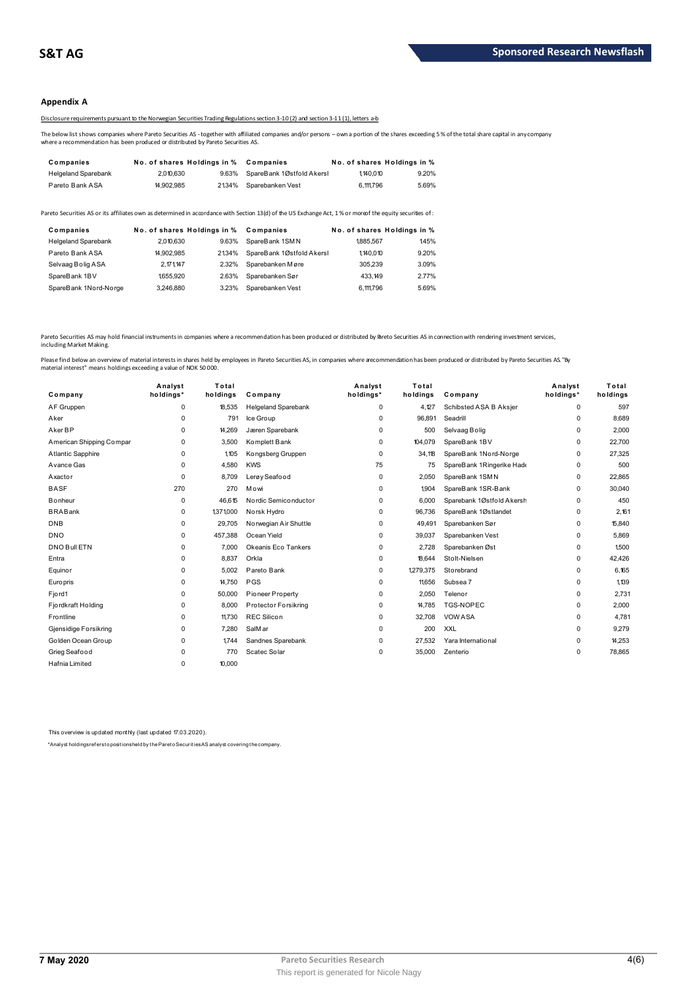# **Appendix A**

Disclosure requirements pursuant to the Norwegian Securities Trading Regulations section 3-10 (2) and section 3-11 (1), letters a-b

The below list shows companies where Pareto Securities AS - together with affiliated companies and/or persons – own a portion of the shares exceeding 5 % of the total share capital in any company<br>where a recommendation has

| Companies                  | No. of shares Holdings in % |       | Companies                 |           | No. of shares Holdings in % |
|----------------------------|-----------------------------|-------|---------------------------|-----------|-----------------------------|
| <b>Helgeland Sparebank</b> | 2.010.630                   | 9.63% | SpareBank 1Østfold Akersl | 1.140.010 | 9.20%                       |
| Pareto Bank ASA            | 14.902.985                  | 2134% | Sparebanken Vest          | 6,111,796 | 5.69%                       |

| <b>I GIULU DAIIN AUA</b>   | 1.002.000                   |       | <u>2</u> IV THE ODD ON THE REAL                                                                                                                         | <b>U.III</b> . 190 | <b>0.0070</b>               |
|----------------------------|-----------------------------|-------|---------------------------------------------------------------------------------------------------------------------------------------------------------|--------------------|-----------------------------|
|                            |                             |       | areto Securities AS or its affiliates own as determined in accordance with Section 13(d) of the US Exchange Act, 1% or moreof the equity securities of: |                    |                             |
| Companies                  | No. of shares Holdings in % |       | Companies                                                                                                                                               |                    | No. of shares Holdings in % |
| <b>Helgeland Sparebank</b> | 2.010.630                   | 9.63% | SpareBank 1SMN                                                                                                                                          | 1885.567           | 1.45%                       |
| Pareto Bank ASA            | 14.902.985                  | 2134% | SpareBank 1Østfold Akersl                                                                                                                               | 1.140.010          | 9.20%                       |
| Selvaag Bolig ASA          | 2.171.147                   | 2.32% | Sparebanken Møre                                                                                                                                        | 305.239            | 3.09%                       |
| SpareBank 1BV              | 1655.920                    | 2.63% | Sparebanken Sør                                                                                                                                         | 433.149            | 2.77%                       |
| SpareBank 1Nord-Norge      | 3.246.880                   | 3.23% | Sparebanken Vest                                                                                                                                        | 6.111.796          | 5.69%                       |
|                            |                             |       |                                                                                                                                                         |                    |                             |

Pareto Securities AS may hold financial instruments in companies where a recommendation has been produced or distributed by Pareto Securities AS in connection with rendering investment services,<br>including Market Making.

| Company                  | Analyst<br>holdings* | Total<br>holdings | Company                    | Analyst<br>holdings* | Total<br>holdings | Company                   | Analyst<br>holdings* | Total<br>holdings |
|--------------------------|----------------------|-------------------|----------------------------|----------------------|-------------------|---------------------------|----------------------|-------------------|
| AF Gruppen               | 0                    | 18.535            | <b>Helgeland Sparebank</b> | 0                    | 4.127             | Schibsted ASA B Aksjer    | 0                    | 597               |
| Aker                     | $\Omega$             | 791               | Ice Group                  | $\Omega$             | 96,891            | Seadrill                  | 0                    | 8,689             |
| Aker BP                  | 0                    | 14,269            | Jæren Sparebank            | 0                    | 500               | Selvaag Bolig             | 0                    | 2,000             |
| American Shipping Compar | 0                    | 3,500             | Komplett Bank              | 0                    | 104,079           | SpareBank 1BV             | 0                    | 22.700            |
| <b>Atlantic Sapphire</b> | $\Omega$             | 1.105             | Kongsberg Gruppen          | $\Omega$             | 34,118            | SpareBank 1Nord-Norge     | 0                    | 27,325            |
| Avance Gas               | $\Omega$             | 4,580             | <b>KWS</b>                 | 75                   | 75                | SpareBank 1Ringerike Hade | 0                    | 500               |
| Axactor                  | $\Omega$             | 8.709             | Lerøy Seafood              | 0                    | 2.050             | SpareBank 1SMN            | 0                    | 22.865            |
| <b>BASF</b>              | 270                  | 270               | Mowi                       | 0                    | 1.904             | SpareBank 1SR-Bank        | 0                    | 30,040            |
| <b>Bonheur</b>           | 0                    | 46,615            | Nordic Semiconductor       | 0                    | 6.000             | Sparebank 1Østfold Akersh | 0                    | 450               |
| <b>BRABank</b>           | 0                    | 1,371,000         | Norsk Hydro                | 0                    | 96,736            | SpareBank 1Østlandet      | 0                    | 2.161             |
| <b>DNB</b>               | $\Omega$             | 29,705            | Norwegian Air Shuttle      | $\Omega$             | 49,491            | Sparebanken Sør           | 0                    | 15,840            |
| <b>DNO</b>               | 0                    | 457,388           | Ocean Yield                | 0                    | 39,037            | Sparebanken Vest          | 0                    | 5,869             |
| DNO Bull ETN             | $\Omega$             | 7,000             | Okeanis Eco Tankers        | 0                    | 2,728             | Sparebanken Øst           | 0                    | 1,500             |
| Entra                    | $\Omega$             | 8,837             | Orkla                      | 0                    | 18.644            | Stolt-Nielsen             | 0                    | 42,426            |
| Equinor                  | $\Omega$             | 5.002             | Pareto Bank                | 0                    | 1279,375          | Storebrand                | 0                    | 6,165             |
| <b>Europris</b>          | $\Omega$             | 14.750            | <b>PGS</b>                 | 0                    | 11.656            | Subsea 7                  | 0                    | 1.139             |
| Fjord1                   | $\Omega$             | 50,000            | Pioneer Property           | $\Omega$             | 2,050             | Telenor                   | 0                    | 2.731             |
| Fjordkraft Holding       | 0                    | 8,000             | Protector Forsikring       | 0                    | 14,785            | <b>TGS-NOPEC</b>          | 0                    | 2,000             |
| Frontline                | $\Omega$             | 11.730            | <b>REC Silicon</b>         | 0                    | 32,708            | <b>VOW ASA</b>            | 0                    | 4.781             |
| Gjensidige Forsikring    | $\Omega$             | 7.280             | SalM ar                    | $\Omega$             | 200               | <b>XXL</b>                | 0                    | 9,279             |
| Golden Ocean Group       | $\Omega$             | 1.744             | Sandnes Sparebank          | 0                    | 27,532            | Yara International        | 0                    | 14,253            |
| Grieg Seafood            | $\Omega$             | 770               | Scatec Solar               | $\Omega$             | 35,000            | Zenterio                  | 0                    | 78,865            |
| Hafnia Limited           | 0                    | 10,000            |                            |                      |                   |                           |                      |                   |
|                          |                      |                   |                            |                      |                   |                           |                      |                   |

This overview is updated monthly (last updated 17.03.2020).

\*Analyst holdings ref ers t o posit ions held by t he Paret o Securit ies AS analyst covering t he company.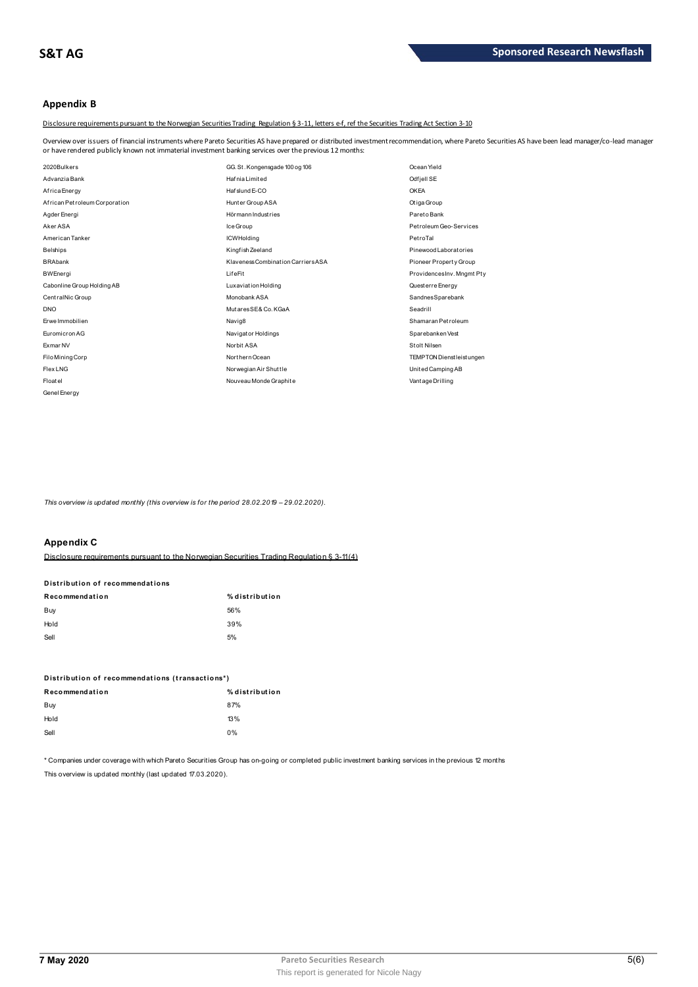# **Appendix B**

Disclosure requirements pursuant to the Norwegian Securities Trading Regulation § 3-11, letters e-f, ref the Securities Trading Act Section 3-10

Overview over issuers of financial instruments where Pareto Securities AS have prepared or distributed investment recommendation, where Pareto Securities AS have been lead manager/co-lead manager<br>or have rendered publicly

| or have rendered publicly known not immaterial investment banking services over the previous 12 months: |                                    |                                  |
|---------------------------------------------------------------------------------------------------------|------------------------------------|----------------------------------|
| 2020Bulkers                                                                                             | GG. St. Kongensgade 100 og 106     | Ocean Yield                      |
| Advanzia Bank                                                                                           | <b>Hafnia Limited</b>              | Odfjell SE                       |
| Africa Energy                                                                                           | Hafslund E-CO                      | <b>OKEA</b>                      |
| African Petroleum Corporation                                                                           | Hunter Group ASA                   | Otiga Group                      |
| Agder Energi                                                                                            | Hörmann Industries                 | Pareto Bank                      |
| Aker ASA                                                                                                | Ice Group                          | Petroleum Geo-Services           |
| American Tanker                                                                                         | <b>ICWHolding</b>                  | PetroTal                         |
| <b>Belships</b>                                                                                         | Kingfish Zeeland                   | Pinewood Laborat ories           |
| <b>BRAbank</b>                                                                                          | Klaveness Combination Carriers ASA | Pioneer Property Group           |
| <b>BWEnergi</b>                                                                                         | LifeFit                            | ProvidencesInv. Mngmt Pty        |
| Cabonline Group Holding AB                                                                              | Luxaviation Holding                | Questerre Energy                 |
| CentralNic Group                                                                                        | Monobank ASA                       | SandnesSparebank                 |
| <b>DNO</b>                                                                                              | MutaresSE& Co. KGaA                | Seadrill                         |
| <b>Erwe Immobilien</b>                                                                                  | Navig8                             | Shamaran Petroleum               |
| Euromicron AG                                                                                           | Navigator Holdings                 | Sparebanken Vest                 |
| Exmar NV                                                                                                | Norbit ASA                         | Stolt Nilsen                     |
| Filo Mining Corp                                                                                        | Northern Ocean                     | <b>TEMPTON Dienstleist ungen</b> |
| Flex LNG                                                                                                | Norwegian Air Shuttle              | United Camping AB                |
| Floatel                                                                                                 | Nouveau Monde Graphite             | Vantage Drilling                 |
| Genel Energy                                                                                            |                                    |                                  |

*This overview is updated monthly (this overview is for the period 28.02.2019 - 29.02.2020).* 

# **Appendix C**

| Appoliain V                     |                                                                                           |
|---------------------------------|-------------------------------------------------------------------------------------------|
|                                 | Disclosure requirements pursuant to the Norwegian Securities Trading Requiation § 3-11(4) |
| Distribution of recommendations |                                                                                           |
| Recommendation                  | % distribution                                                                            |
| Buy                             | 56%                                                                                       |
| Hold                            | 39%                                                                                       |
| Sell                            | 5%                                                                                        |
|                                 |                                                                                           |

| ---                                             | - - -          |
|-------------------------------------------------|----------------|
| Distribution of recommendations (transactions*) |                |
| Recommendation                                  | % distribution |
| Buy                                             | 87%            |
| Hold                                            | 13%            |
| Sell                                            | 0%             |
|                                                 |                |

\* Companies under coverage with which Pareto Securities Group has on-going or completed public investment banking services in the previous 12 months This overview is updated monthly (last updated 17.03.2020).